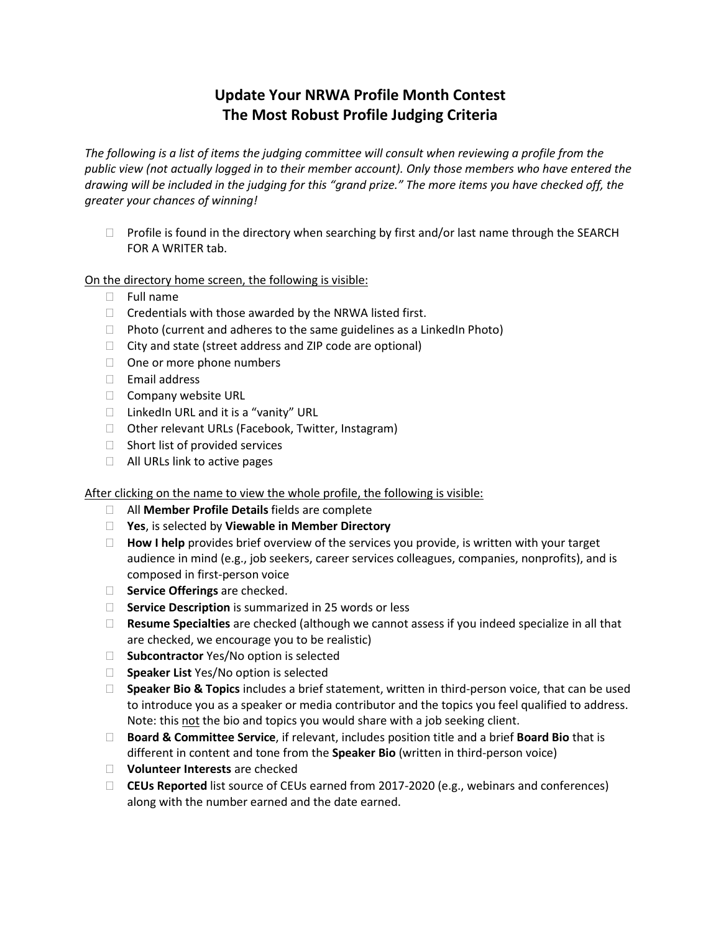## **Update Your NRWA Profile Month Contest The Most Robust Profile Judging Criteria**

*The following is a list of items the judging committee will consult when reviewing a profile from the public view (not actually logged in to their member account). Only those members who have entered the drawing will be included in the judging for this "grand prize." The more items you have checked off, the greater your chances of winning!*

 $\Box$  Profile is found in the directory when searching by first and/or last name through the SEARCH FOR A WRITER tab.

On the directory home screen, the following is visible:

- $\Box$  Full name
- $\Box$  Credentials with those awarded by the NRWA listed first.
- $\Box$  Photo (current and adheres to the same guidelines as a LinkedIn Photo)
- $\Box$  City and state (street address and ZIP code are optional)
- $\Box$  One or more phone numbers
- Email address
- $\Box$  Company website URL
- $\Box$  LinkedIn URL and it is a "vanity" URL
- Other relevant URLs (Facebook, Twitter, Instagram)
- $\Box$  Short list of provided services
- $\Box$  All URLs link to active pages

After clicking on the name to view the whole profile, the following is visible:

- All **Member Profile Details** fields are complete
- **Yes**, is selected by **Viewable in Member Directory**
- **How I help** provides brief overview of the services you provide, is written with your target audience in mind (e.g., job seekers, career services colleagues, companies, nonprofits), and is composed in first-person voice
- **Service Offerings** are checked.
- **Service Description** is summarized in 25 words or less
- **Resume Specialties** are checked (although we cannot assess if you indeed specialize in all that are checked, we encourage you to be realistic)
- □ **Subcontractor** Yes/No option is selected
- **Speaker List** Yes/No option is selected
- **Speaker Bio & Topics** includes a brief statement, written in third-person voice, that can be used to introduce you as a speaker or media contributor and the topics you feel qualified to address. Note: this not the bio and topics you would share with a job seeking client.
- **Board & Committee Service**, if relevant, includes position title and a brief **Board Bio** that is different in content and tone from the **Speaker Bio** (written in third-person voice)
- **Volunteer Interests** are checked
- **CEUs Reported** list source of CEUs earned from 2017-2020 (e.g., webinars and conferences) along with the number earned and the date earned.